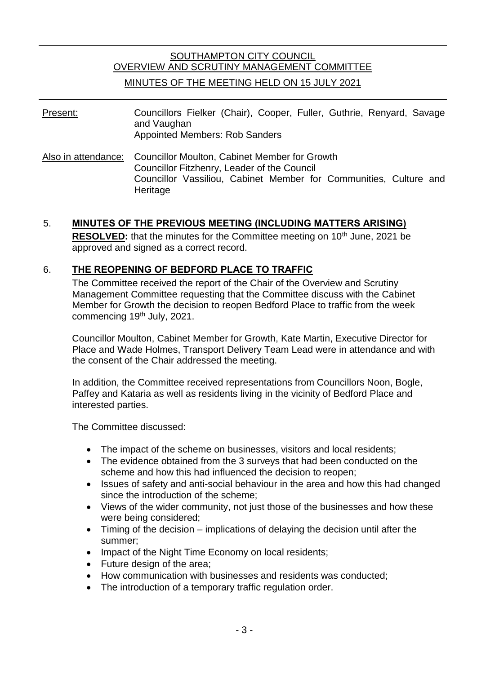# SOUTHAMPTON CITY COUNCIL OVERVIEW AND SCRUTINY MANAGEMENT COMMITTEE MINUTES OF THE MEETING HELD ON 15 JULY 2021

Present: Councillors Fielker (Chair), Cooper, Fuller, Guthrie, Renyard, Savage and Vaughan Appointed Members: Rob Sanders

Also in attendance: Councillor Moulton, Cabinet Member for Growth Councillor Fitzhenry, Leader of the Council Councillor Vassiliou, Cabinet Member for Communities, Culture and **Heritage** 

## 5. **MINUTES OF THE PREVIOUS MEETING (INCLUDING MATTERS ARISING)**

**RESOLVED:** that the minutes for the Committee meeting on 10<sup>th</sup> June, 2021 be approved and signed as a correct record.

## 6. **THE REOPENING OF BEDFORD PLACE TO TRAFFIC**

The Committee received the report of the Chair of the Overview and Scrutiny Management Committee requesting that the Committee discuss with the Cabinet Member for Growth the decision to reopen Bedford Place to traffic from the week commencing 19th July, 2021.

Councillor Moulton, Cabinet Member for Growth, Kate Martin, Executive Director for Place and Wade Holmes, Transport Delivery Team Lead were in attendance and with the consent of the Chair addressed the meeting.

In addition, the Committee received representations from Councillors Noon, Bogle, Paffey and Kataria as well as residents living in the vicinity of Bedford Place and interested parties.

The Committee discussed:

- The impact of the scheme on businesses, visitors and local residents;
- The evidence obtained from the 3 surveys that had been conducted on the scheme and how this had influenced the decision to reopen;
- Issues of safety and anti-social behaviour in the area and how this had changed since the introduction of the scheme;
- Views of the wider community, not just those of the businesses and how these were being considered;
- Timing of the decision implications of delaying the decision until after the summer;
- Impact of the Night Time Economy on local residents;
- Future design of the area;
- How communication with businesses and residents was conducted;
- The introduction of a temporary traffic regulation order.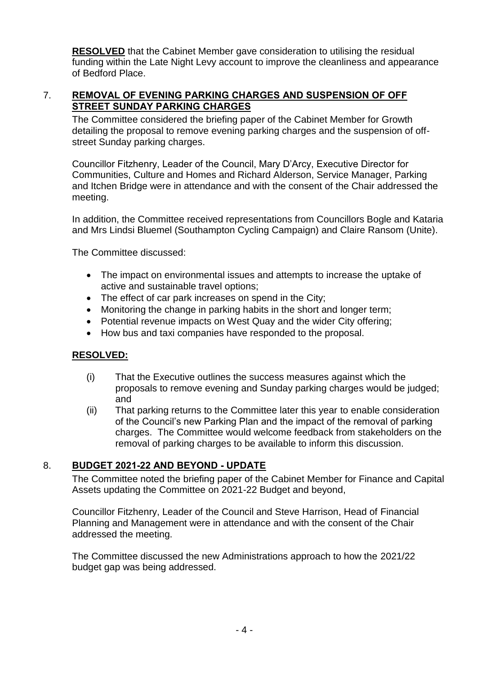**RESOLVED** that the Cabinet Member gave consideration to utilising the residual funding within the Late Night Levy account to improve the cleanliness and appearance of Bedford Place.

## 7. **REMOVAL OF EVENING PARKING CHARGES AND SUSPENSION OF OFF STREET SUNDAY PARKING CHARGES**

The Committee considered the briefing paper of the Cabinet Member for Growth detailing the proposal to remove evening parking charges and the suspension of offstreet Sunday parking charges.

Councillor Fitzhenry, Leader of the Council, Mary D'Arcy, Executive Director for Communities, Culture and Homes and Richard Alderson, Service Manager, Parking and Itchen Bridge were in attendance and with the consent of the Chair addressed the meeting.

In addition, the Committee received representations from Councillors Bogle and Kataria and Mrs Lindsi Bluemel (Southampton Cycling Campaign) and Claire Ransom (Unite).

The Committee discussed:

- The impact on environmental issues and attempts to increase the uptake of active and sustainable travel options;
- The effect of car park increases on spend in the City;
- Monitoring the change in parking habits in the short and longer term;
- Potential revenue impacts on West Quay and the wider City offering;
- How bus and taxi companies have responded to the proposal.

#### **RESOLVED:**

- (i) That the Executive outlines the success measures against which the proposals to remove evening and Sunday parking charges would be judged; and
- (ii) That parking returns to the Committee later this year to enable consideration of the Council's new Parking Plan and the impact of the removal of parking charges. The Committee would welcome feedback from stakeholders on the removal of parking charges to be available to inform this discussion.

## 8. **BUDGET 2021-22 AND BEYOND - UPDATE**

The Committee noted the briefing paper of the Cabinet Member for Finance and Capital Assets updating the Committee on 2021-22 Budget and beyond,

Councillor Fitzhenry, Leader of the Council and Steve Harrison, Head of Financial Planning and Management were in attendance and with the consent of the Chair addressed the meeting.

The Committee discussed the new Administrations approach to how the 2021/22 budget gap was being addressed.